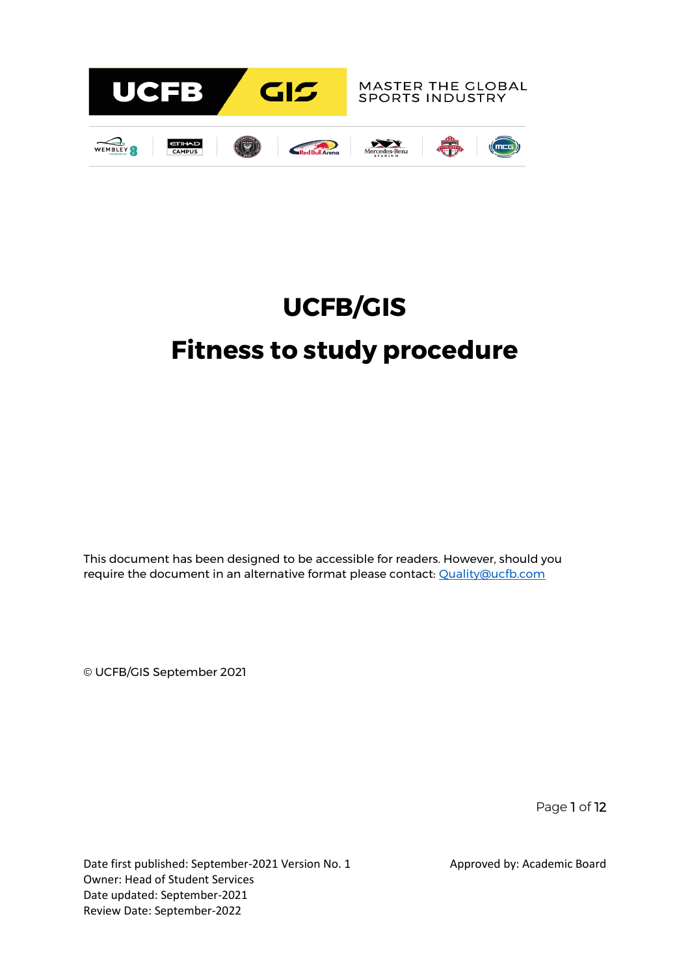

# **UCFB/GIS Fitness to study procedure**

This document has been designed to be accessible for readers. However, should you require the document in an alternative format please contact: [Quality@ucfb.com](mailto:Quality@ucfb.com)

© UCFB/GIS September 2021

Page 1 of 12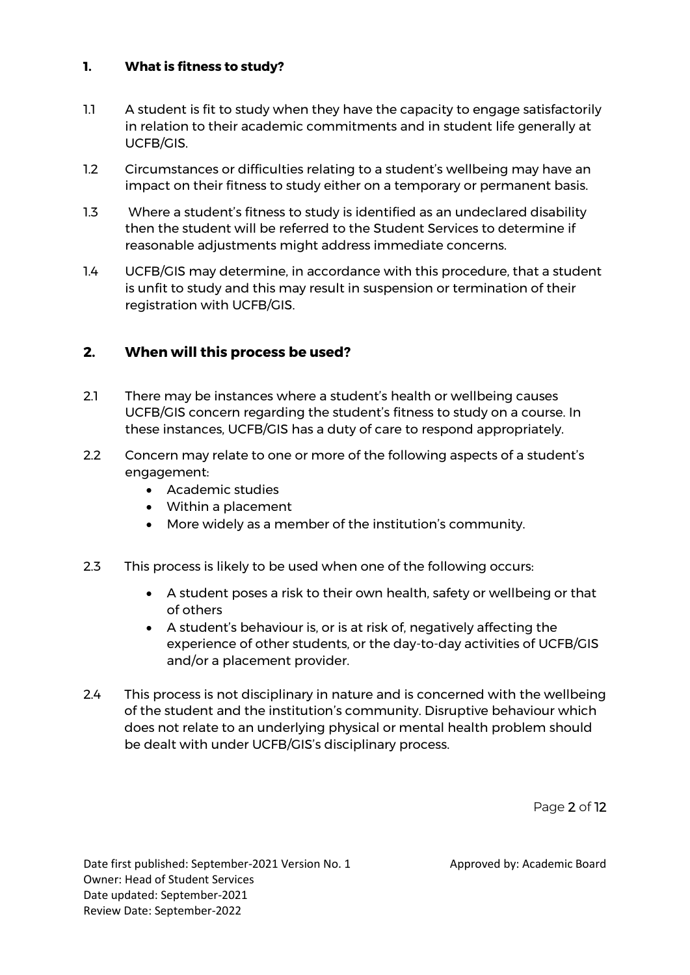# **1. What is fitness to study?**

- 1.1 A student is fit to study when they have the capacity to engage satisfactorily in relation to their academic commitments and in student life generally at UCFB/GIS.
- 1.2 Circumstances or difficulties relating to a student's wellbeing may have an impact on their fitness to study either on a temporary or permanent basis.
- 1.3 Where a student's fitness to study is identified as an undeclared disability then the student will be referred to the Student Services to determine if reasonable adjustments might address immediate concerns.
- 1.4 UCFB/GIS may determine, in accordance with this procedure, that a student is unfit to study and this may result in suspension or termination of their registration with UCFB/GIS.

# **2. When will this process be used?**

- 2.1 There may be instances where a student's health or wellbeing causes UCFB/GIS concern regarding the student's fitness to study on a course. In these instances, UCFB/GIS has a duty of care to respond appropriately.
- 2.2 Concern may relate to one or more of the following aspects of a student's engagement:
	- Academic studies
	- Within a placement
	- More widely as a member of the institution's community.
- 2.3 This process is likely to be used when one of the following occurs:
	- A student poses a risk to their own health, safety or wellbeing or that of others
	- A student's behaviour is, or is at risk of, negatively affecting the experience of other students, or the day-to-day activities of UCFB/GIS and/or a placement provider.
- 2.4 This process is not disciplinary in nature and is concerned with the wellbeing of the student and the institution's community. Disruptive behaviour which does not relate to an underlying physical or mental health problem should be dealt with under UCFB/GIS's disciplinary process.

Page 2 of 12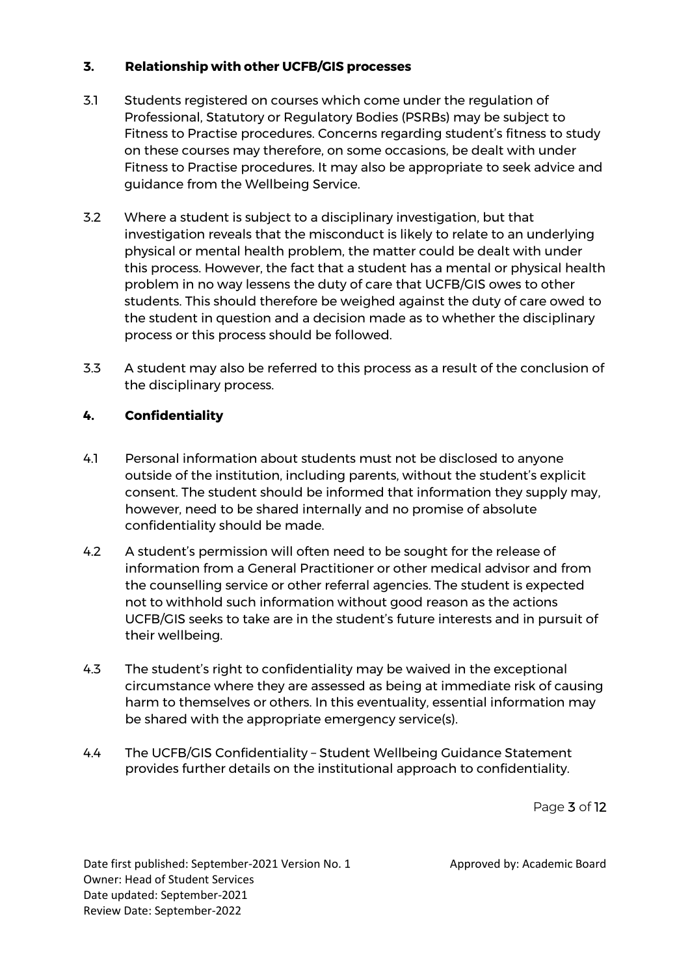## **3. Relationship with other UCFB/GIS processes**

- 3.1 Students registered on courses which come under the regulation of Professional, Statutory or Regulatory Bodies (PSRBs) may be subject to Fitness to Practise procedures. Concerns regarding student's fitness to study on these courses may therefore, on some occasions, be dealt with under Fitness to Practise procedures. It may also be appropriate to seek advice and guidance from the Wellbeing Service.
- 3.2 Where a student is subject to a disciplinary investigation, but that investigation reveals that the misconduct is likely to relate to an underlying physical or mental health problem, the matter could be dealt with under this process. However, the fact that a student has a mental or physical health problem in no way lessens the duty of care that UCFB/GIS owes to other students. This should therefore be weighed against the duty of care owed to the student in question and a decision made as to whether the disciplinary process or this process should be followed.
- 3.3 A student may also be referred to this process as a result of the conclusion of the disciplinary process.

# **4. Confidentiality**

- 4.1 Personal information about students must not be disclosed to anyone outside of the institution, including parents, without the student's explicit consent. The student should be informed that information they supply may, however, need to be shared internally and no promise of absolute confidentiality should be made.
- 4.2 A student's permission will often need to be sought for the release of information from a General Practitioner or other medical advisor and from the counselling service or other referral agencies. The student is expected not to withhold such information without good reason as the actions UCFB/GIS seeks to take are in the student's future interests and in pursuit of their wellbeing.
- 4.3 The student's right to confidentiality may be waived in the exceptional circumstance where they are assessed as being at immediate risk of causing harm to themselves or others. In this eventuality, essential information may be shared with the appropriate emergency service(s).
- 4.4 The UCFB/GIS Confidentiality Student Wellbeing Guidance Statement provides further details on the institutional approach to confidentiality.

Page 3 of 12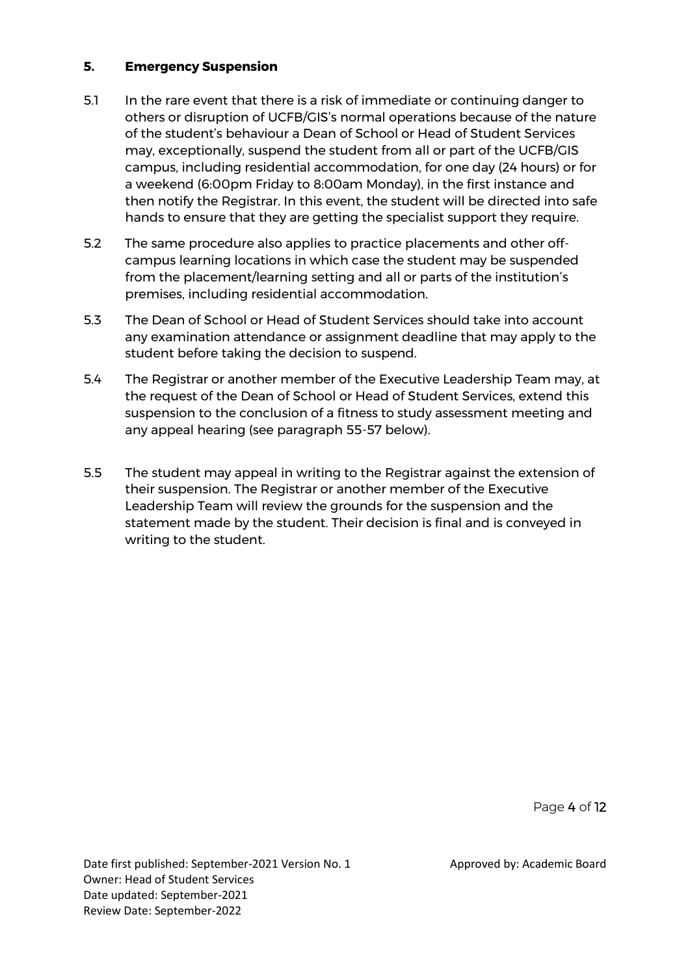#### **5. Emergency Suspension**

- 5.1 In the rare event that there is a risk of immediate or continuing danger to others or disruption of UCFB/GIS's normal operations because of the nature of the student's behaviour a Dean of School or Head of Student Services may, exceptionally, suspend the student from all or part of the UCFB/GIS campus, including residential accommodation, for one day (24 hours) or for a weekend (6:00pm Friday to 8:00am Monday), in the first instance and then notify the Registrar. In this event, the student will be directed into safe hands to ensure that they are getting the specialist support they require.
- 5.2 The same procedure also applies to practice placements and other offcampus learning locations in which case the student may be suspended from the placement/learning setting and all or parts of the institution's premises, including residential accommodation.
- 5.3 The Dean of School or Head of Student Services should take into account any examination attendance or assignment deadline that may apply to the student before taking the decision to suspend.
- 5.4 The Registrar or another member of the Executive Leadership Team may, at the request of the Dean of School or Head of Student Services, extend this suspension to the conclusion of a fitness to study assessment meeting and any appeal hearing (see paragraph 55-57 below).
- 5.5 The student may appeal in writing to the Registrar against the extension of their suspension. The Registrar or another member of the Executive Leadership Team will review the grounds for the suspension and the statement made by the student. Their decision is final and is conveyed in writing to the student.

Page 4 of 12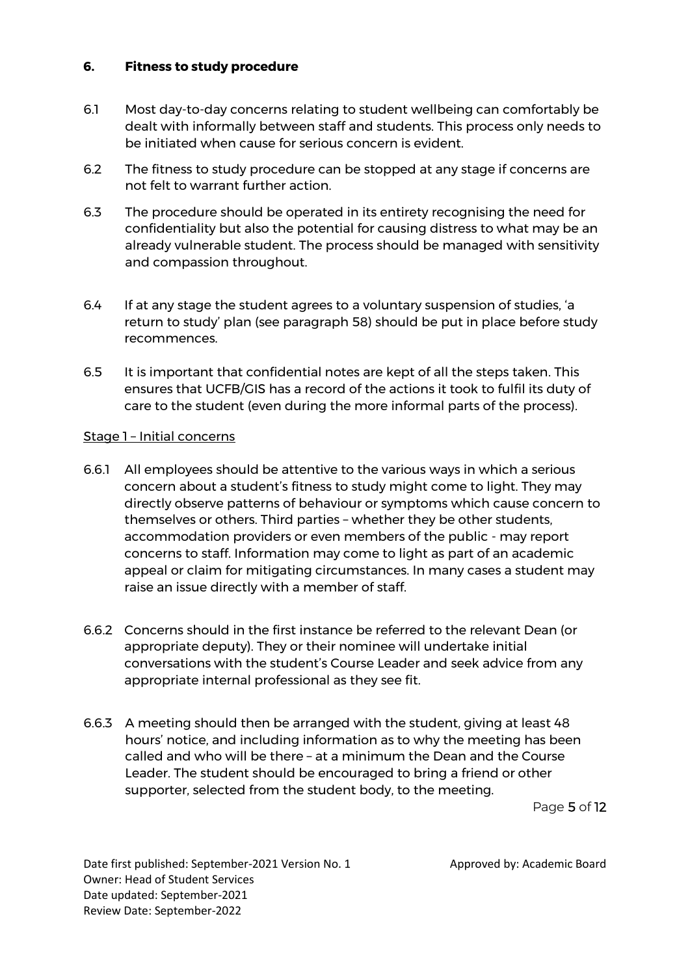#### **6. Fitness to study procedure**

- 6.1 Most day-to-day concerns relating to student wellbeing can comfortably be dealt with informally between staff and students. This process only needs to be initiated when cause for serious concern is evident.
- 6.2 The fitness to study procedure can be stopped at any stage if concerns are not felt to warrant further action.
- 6.3 The procedure should be operated in its entirety recognising the need for confidentiality but also the potential for causing distress to what may be an already vulnerable student. The process should be managed with sensitivity and compassion throughout.
- 6.4 If at any stage the student agrees to a voluntary suspension of studies, 'a return to study' plan (see paragraph 58) should be put in place before study recommences.
- 6.5 It is important that confidential notes are kept of all the steps taken. This ensures that UCFB/GIS has a record of the actions it took to fulfil its duty of care to the student (even during the more informal parts of the process).

#### Stage 1 - Initial concerns

- 6.6.1 All employees should be attentive to the various ways in which a serious concern about a student's fitness to study might come to light. They may directly observe patterns of behaviour or symptoms which cause concern to themselves or others. Third parties – whether they be other students, accommodation providers or even members of the public - may report concerns to staff. Information may come to light as part of an academic appeal or claim for mitigating circumstances. In many cases a student may raise an issue directly with a member of staff.
- 6.6.2 Concerns should in the first instance be referred to the relevant Dean (or appropriate deputy). They or their nominee will undertake initial conversations with the student's Course Leader and seek advice from any appropriate internal professional as they see fit.
- 6.6.3 A meeting should then be arranged with the student, giving at least 48 hours' notice, and including information as to why the meeting has been called and who will be there – at a minimum the Dean and the Course Leader. The student should be encouraged to bring a friend or other supporter, selected from the student body, to the meeting.

Page 5 of 12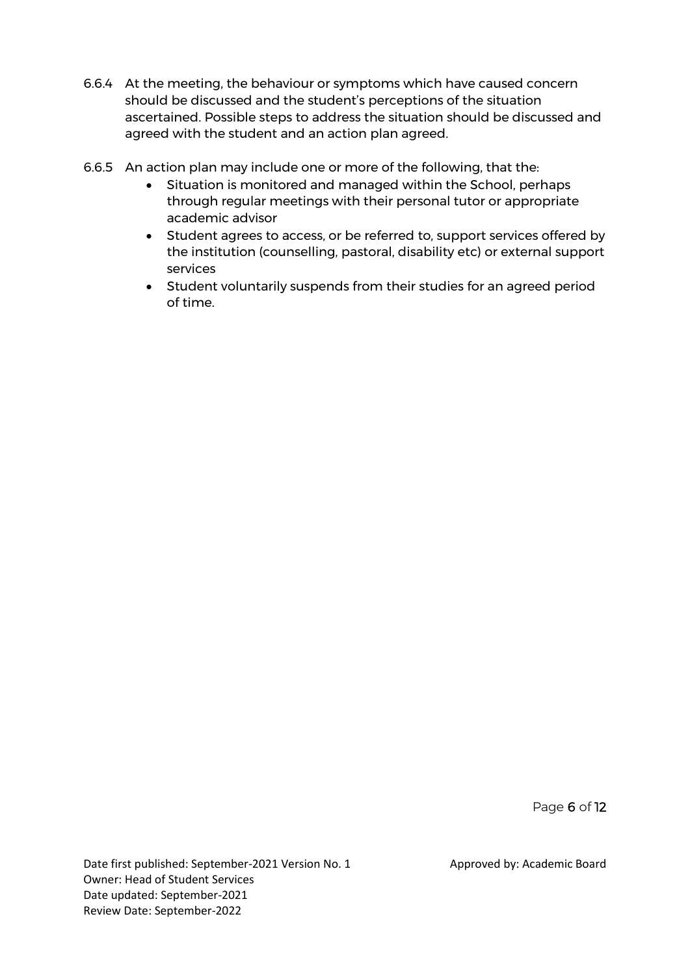- 6.6.4 At the meeting, the behaviour or symptoms which have caused concern should be discussed and the student's perceptions of the situation ascertained. Possible steps to address the situation should be discussed and agreed with the student and an action plan agreed.
- 6.6.5 An action plan may include one or more of the following, that the:
	- Situation is monitored and managed within the School, perhaps through regular meetings with their personal tutor or appropriate academic advisor
	- Student agrees to access, or be referred to, support services offered by the institution (counselling, pastoral, disability etc) or external support services
	- Student voluntarily suspends from their studies for an agreed period of time.

Page 6 of 12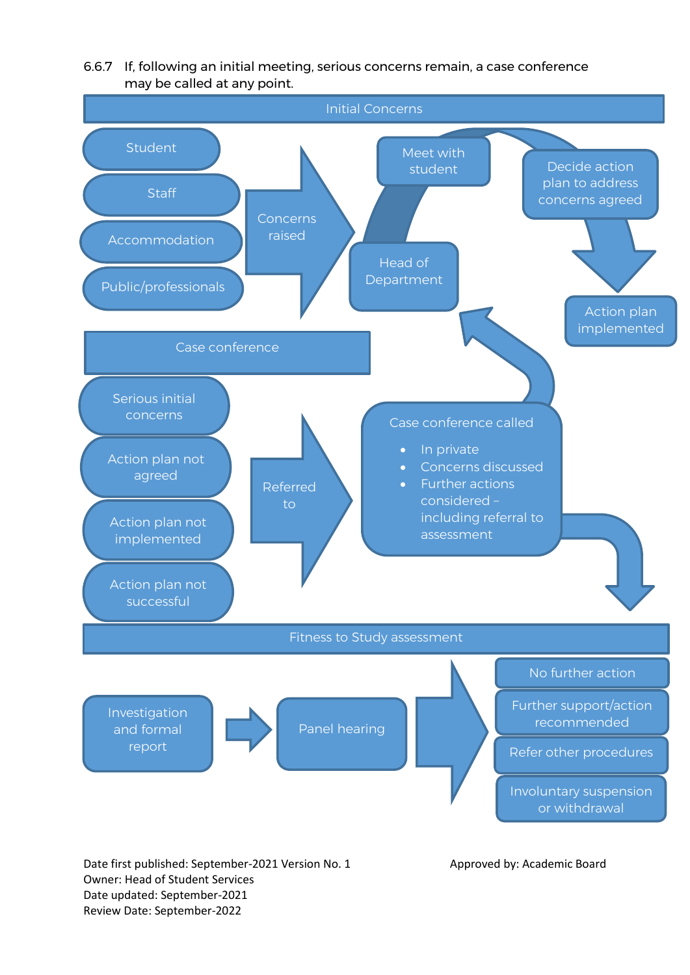

6.6.7 If, following an initial meeting, serious concerns remain, a case conference may be called at any point.

Owner: Head of Student Services Date updated: September-2021 Review Date: September-2022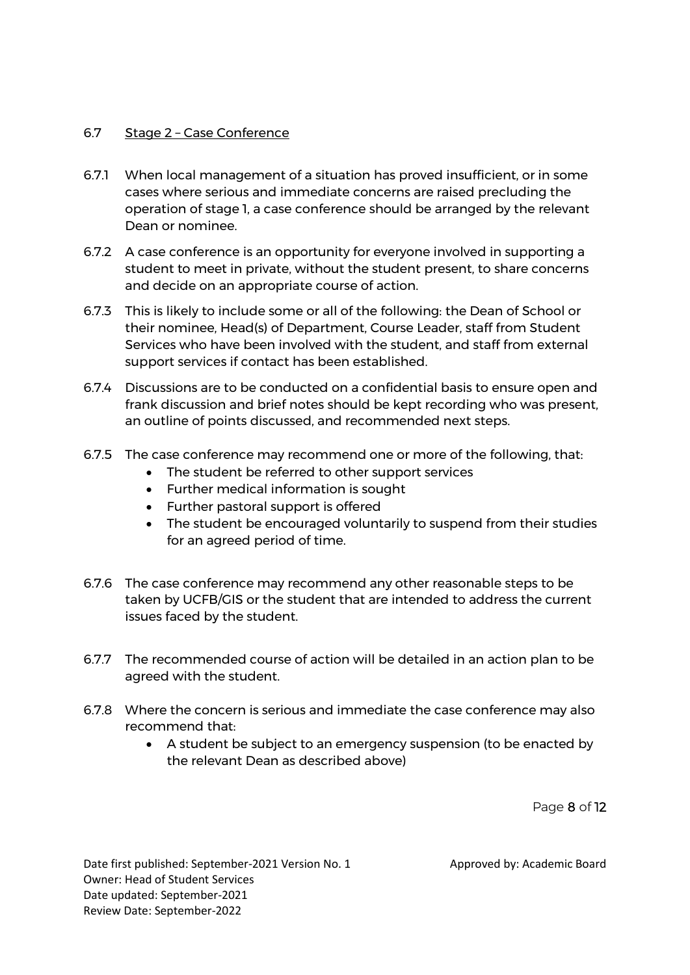#### 6.7 Stage 2 - Case Conference

- 6.7.1 When local management of a situation has proved insufficient, or in some cases where serious and immediate concerns are raised precluding the operation of stage 1, a case conference should be arranged by the relevant Dean or nominee.
- 6.7.2 A case conference is an opportunity for everyone involved in supporting a student to meet in private, without the student present, to share concerns and decide on an appropriate course of action.
- 6.7.3 This is likely to include some or all of the following: the Dean of School or their nominee, Head(s) of Department, Course Leader, staff from Student Services who have been involved with the student, and staff from external support services if contact has been established.
- 6.7.4 Discussions are to be conducted on a confidential basis to ensure open and frank discussion and brief notes should be kept recording who was present, an outline of points discussed, and recommended next steps.
- 6.7.5 The case conference may recommend one or more of the following, that:
	- The student be referred to other support services
	- Further medical information is sought
	- Further pastoral support is offered
	- The student be encouraged voluntarily to suspend from their studies for an agreed period of time.
- 6.7.6 The case conference may recommend any other reasonable steps to be taken by UCFB/GIS or the student that are intended to address the current issues faced by the student.
- 6.7.7 The recommended course of action will be detailed in an action plan to be agreed with the student.
- 6.7.8 Where the concern is serious and immediate the case conference may also recommend that:
	- A student be subject to an emergency suspension (to be enacted by the relevant Dean as described above)

Page 8 of 12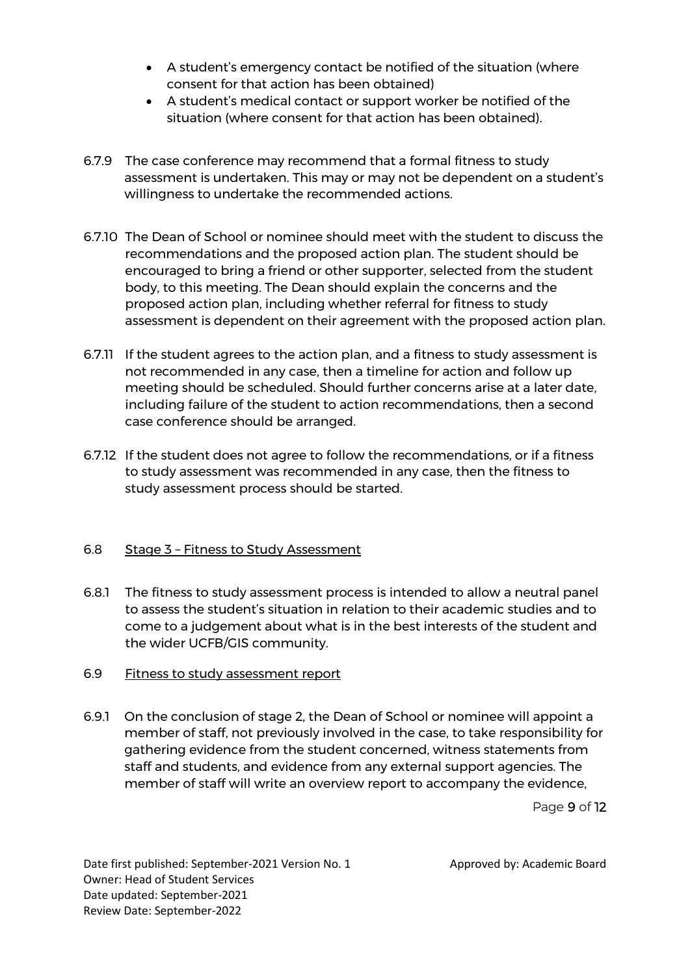- A student's emergency contact be notified of the situation (where consent for that action has been obtained)
- A student's medical contact or support worker be notified of the situation (where consent for that action has been obtained).
- 6.7.9 The case conference may recommend that a formal fitness to study assessment is undertaken. This may or may not be dependent on a student's willingness to undertake the recommended actions.
- 6.7.10 The Dean of School or nominee should meet with the student to discuss the recommendations and the proposed action plan. The student should be encouraged to bring a friend or other supporter, selected from the student body, to this meeting. The Dean should explain the concerns and the proposed action plan, including whether referral for fitness to study assessment is dependent on their agreement with the proposed action plan.
- 6.7.11 If the student agrees to the action plan, and a fitness to study assessment is not recommended in any case, then a timeline for action and follow up meeting should be scheduled. Should further concerns arise at a later date, including failure of the student to action recommendations, then a second case conference should be arranged.
- 6.7.12 If the student does not agree to follow the recommendations, or if a fitness to study assessment was recommended in any case, then the fitness to study assessment process should be started.

## 6.8 Stage 3 - Fitness to Study Assessment

- 6.8.1 The fitness to study assessment process is intended to allow a neutral panel to assess the student's situation in relation to their academic studies and to come to a judgement about what is in the best interests of the student and the wider UCFB/GIS community.
- 6.9 Fitness to study assessment report
- 6.9.1 On the conclusion of stage 2, the Dean of School or nominee will appoint a member of staff, not previously involved in the case, to take responsibility for gathering evidence from the student concerned, witness statements from staff and students, and evidence from any external support agencies. The member of staff will write an overview report to accompany the evidence,

Page 9 of 12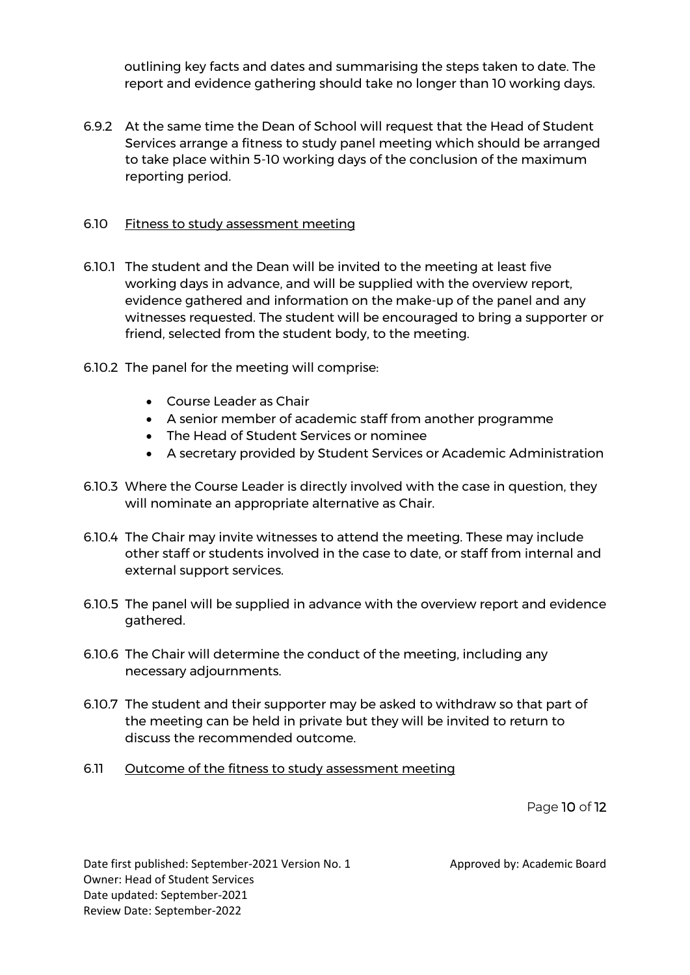outlining key facts and dates and summarising the steps taken to date. The report and evidence gathering should take no longer than 10 working days.

6.9.2 At the same time the Dean of School will request that the Head of Student Services arrange a fitness to study panel meeting which should be arranged to take place within 5-10 working days of the conclusion of the maximum reporting period.

#### 6.10 Fitness to study assessment meeting

- 6.10.1 The student and the Dean will be invited to the meeting at least five working days in advance, and will be supplied with the overview report, evidence gathered and information on the make-up of the panel and any witnesses requested. The student will be encouraged to bring a supporter or friend, selected from the student body, to the meeting.
- 6.10.2 The panel for the meeting will comprise:
	- Course Leader as Chair
	- A senior member of academic staff from another programme
	- The Head of Student Services or nominee
	- A secretary provided by Student Services or Academic Administration
- 6.10.3 Where the Course Leader is directly involved with the case in question, they will nominate an appropriate alternative as Chair.
- 6.10.4 The Chair may invite witnesses to attend the meeting. These may include other staff or students involved in the case to date, or staff from internal and external support services.
- 6.10.5 The panel will be supplied in advance with the overview report and evidence gathered.
- 6.10.6 The Chair will determine the conduct of the meeting, including any necessary adjournments.
- 6.10.7 The student and their supporter may be asked to withdraw so that part of the meeting can be held in private but they will be invited to return to discuss the recommended outcome.
- 6.11 Outcome of the fitness to study assessment meeting

Page 10 of 12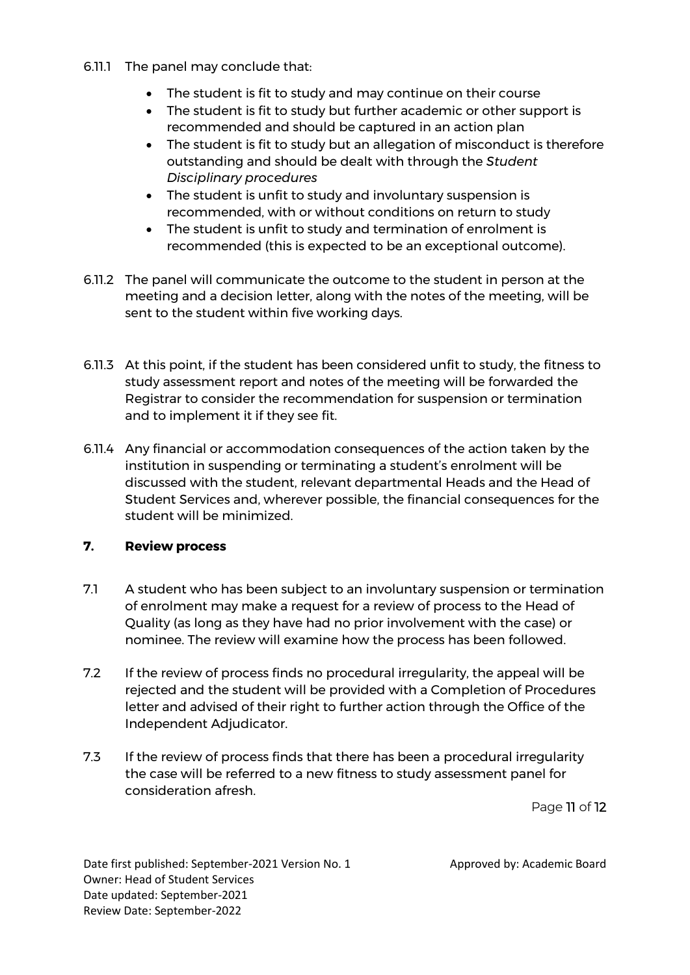- 6.11.1 The panel may conclude that:
	- The student is fit to study and may continue on their course
	- The student is fit to study but further academic or other support is recommended and should be captured in an action plan
	- The student is fit to study but an allegation of misconduct is therefore outstanding and should be dealt with through the *Student Disciplinary procedures*
	- The student is unfit to study and involuntary suspension is recommended, with or without conditions on return to study
	- The student is unfit to study and termination of enrolment is recommended (this is expected to be an exceptional outcome).
- 6.11.2 The panel will communicate the outcome to the student in person at the meeting and a decision letter, along with the notes of the meeting, will be sent to the student within five working days.
- 6.11.3 At this point, if the student has been considered unfit to study, the fitness to study assessment report and notes of the meeting will be forwarded the Registrar to consider the recommendation for suspension or termination and to implement it if they see fit.
- 6.11.4 Any financial or accommodation consequences of the action taken by the institution in suspending or terminating a student's enrolment will be discussed with the student, relevant departmental Heads and the Head of Student Services and, wherever possible, the financial consequences for the student will be minimized.

# **7. Review process**

- 7.1 A student who has been subject to an involuntary suspension or termination of enrolment may make a request for a review of process to the Head of Quality (as long as they have had no prior involvement with the case) or nominee. The review will examine how the process has been followed.
- 7.2 If the review of process finds no procedural irregularity, the appeal will be rejected and the student will be provided with a Completion of Procedures letter and advised of their right to further action through the Office of the Independent Adjudicator.
- 7.3 If the review of process finds that there has been a procedural irregularity the case will be referred to a new fitness to study assessment panel for consideration afresh.

Page 11 of 12